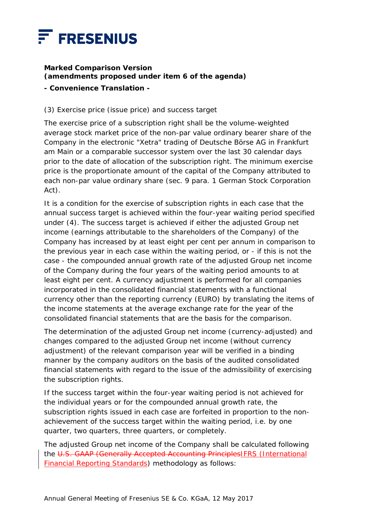

## **Marked Comparison Version (amendments proposed under item 6 of the agenda) - Convenience Translation -**

## (3) Exercise price (issue price) and success target

The exercise price of a subscription right shall be the volume-weighted average stock market price of the non-par value ordinary bearer share of the Company in the electronic "Xetra" trading of Deutsche Börse AG in Frankfurt am Main or a comparable successor system over the last 30 calendar days prior to the date of allocation of the subscription right. The minimum exercise price is the proportionate amount of the capital of the Company attributed to each non-par value ordinary share (sec. 9 para. 1 German Stock Corporation Act).

It is a condition for the exercise of subscription rights in each case that the annual success target is achieved within the four-year waiting period specified under (4). The success target is achieved if either the adjusted Group net income (earnings attributable to the shareholders of the Company) of the Company has increased by at least eight per cent per annum in comparison to the previous year in each case within the waiting period, or - if this is not the case - the compounded annual growth rate of the adjusted Group net income of the Company during the four years of the waiting period amounts to at least eight per cent. A currency adjustment is performed for all companies incorporated in the consolidated financial statements with a functional currency other than the reporting currency (EURO) by translating the items of the income statements at the average exchange rate for the year of the consolidated financial statements that are the basis for the comparison.

The determination of the adjusted Group net income (currency-adjusted) and changes compared to the adjusted Group net income (without currency adjustment) of the relevant comparison year will be verified in a binding manner by the company auditors on the basis of the audited consolidated financial statements with regard to the issue of the admissibility of exercising the subscription rights.

If the success target within the four-year waiting period is not achieved for the individual years or for the compounded annual growth rate, the subscription rights issued in each case are forfeited in proportion to the nonachievement of the success target within the waiting period, i.e. by one quarter, two quarters, three quarters, or completely.

The adjusted Group net income of the Company shall be calculated following the U.S. GAAP (Generally Accepted Accounting PrinciplesIFRS (International Financial Reporting Standards) methodology as follows: